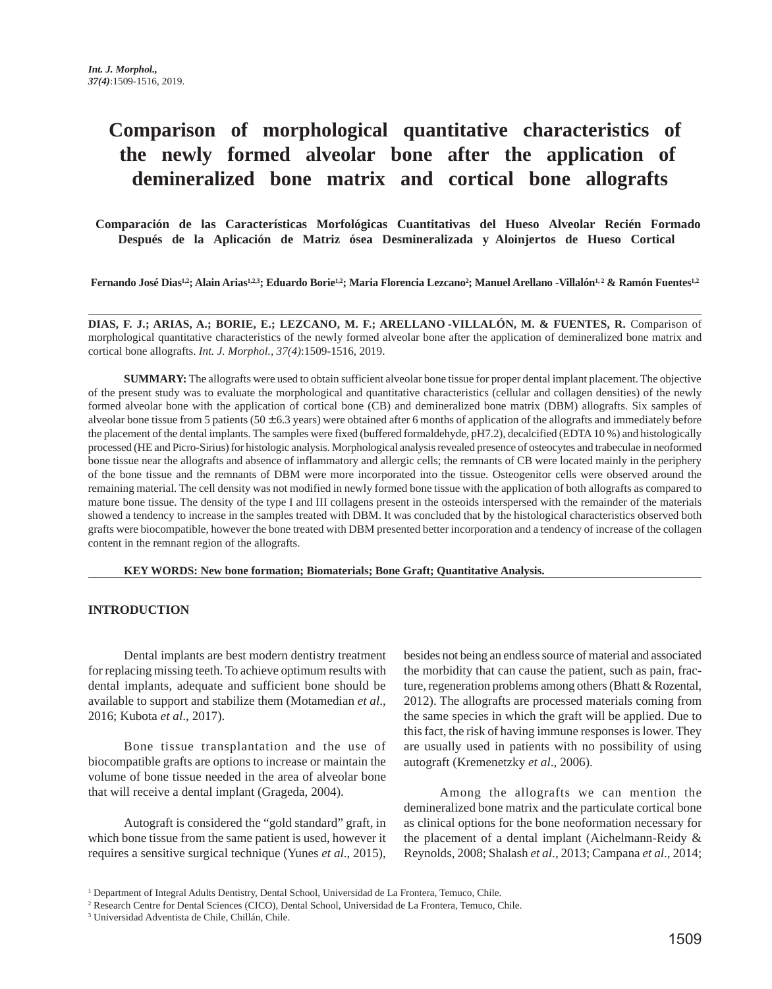# **Comparison of morphological quantitative characteristics of the newly formed alveolar bone after the application of demineralized bone matrix and cortical bone allografts**

 **Comparación de las Características Morfológicas Cuantitativas del Hueso Alveolar Recién Formado Después de la Aplicación de Matriz ósea Desmineralizada y Aloinjertos de Hueso Cortical**

Fernando José Dias<sup>1,2</sup>; Alain Arias<sup>1,2,3</sup>; Eduardo Borie<sup>1,2</sup>; Maria Florencia Lezcano<sup>2</sup>; Manuel Arellano -Villalón<sup>1,2</sup> & Ramón Fuentes<sup>1,2</sup>

**DIAS, F. J.; ARIAS, A.; BORIE, E.; LEZCANO, M. F.; ARELLANO -VILLALÓN, M. & FUENTES, R.** Comparison of morphological quantitative characteristics of the newly formed alveolar bone after the application of demineralized bone matrix and cortical bone allografts. *Int. J. Morphol., 37(4)*:1509-1516, 2019.

**SUMMARY:** The allografts were used to obtain sufficient alveolar bone tissue for proper dental implant placement. The objective of the present study was to evaluate the morphological and quantitative characteristics (cellular and collagen densities) of the newly formed alveolar bone with the application of cortical bone (CB) and demineralized bone matrix (DBM) allografts. Six samples of alveolar bone tissue from 5 patients (50 ± 6.3 years) were obtained after 6 months of application of the allografts and immediately before the placement of the dental implants. The samples were fixed (buffered formaldehyde, pH7.2), decalcified (EDTA 10 %) and histologically processed (HE and Picro-Sirius) for histologic analysis. Morphological analysis revealed presence of osteocytes and trabeculae in neoformed bone tissue near the allografts and absence of inflammatory and allergic cells; the remnants of CB were located mainly in the periphery of the bone tissue and the remnants of DBM were more incorporated into the tissue. Osteogenitor cells were observed around the remaining material. The cell density was not modified in newly formed bone tissue with the application of both allografts as compared to mature bone tissue. The density of the type I and III collagens present in the osteoids interspersed with the remainder of the materials showed a tendency to increase in the samples treated with DBM. It was concluded that by the histological characteristics observed both grafts were biocompatible, however the bone treated with DBM presented better incorporation and a tendency of increase of the collagen content in the remnant region of the allografts.

**KEY WORDS: New bone formation; Biomaterials; Bone Graft; Quantitative Analysis.**

#### **INTRODUCTION**

Dental implants are best modern dentistry treatment for replacing missing teeth. To achieve optimum results with dental implants, adequate and sufficient bone should be available to support and stabilize them (Motamedian *et al*., 2016; Kubota *et al*., 2017).

Bone tissue transplantation and the use of biocompatible grafts are options to increase or maintain the volume of bone tissue needed in the area of alveolar bone that will receive a dental implant (Grageda, 2004).

Autograft is considered the "gold standard" graft, in which bone tissue from the same patient is used, however it requires a sensitive surgical technique (Yunes *et al*., 2015), besides not being an endless source of material and associated the morbidity that can cause the patient, such as pain, fracture, regeneration problems among others (Bhatt & Rozental, 2012). The allografts are processed materials coming from the same species in which the graft will be applied. Due to this fact, the risk of having immune responses is lower. They are usually used in patients with no possibility of using autograft (Kremenetzky *et al*., 2006).

Among the allografts we can mention the demineralized bone matrix and the particulate cortical bone as clinical options for the bone neoformation necessary for the placement of a dental implant (Aichelmann-Reidy & Reynolds, 2008; Shalash *et al*., 2013; Campana *et al*., 2014;

<sup>&</sup>lt;sup>1</sup> Department of Integral Adults Dentistry, Dental School, Universidad de La Frontera, Temuco, Chile.

<sup>2</sup> Research Centre for Dental Sciences (CICO), Dental School, Universidad de La Frontera, Temuco, Chile.

<sup>3</sup> Universidad Adventista de Chile, Chillán, Chile.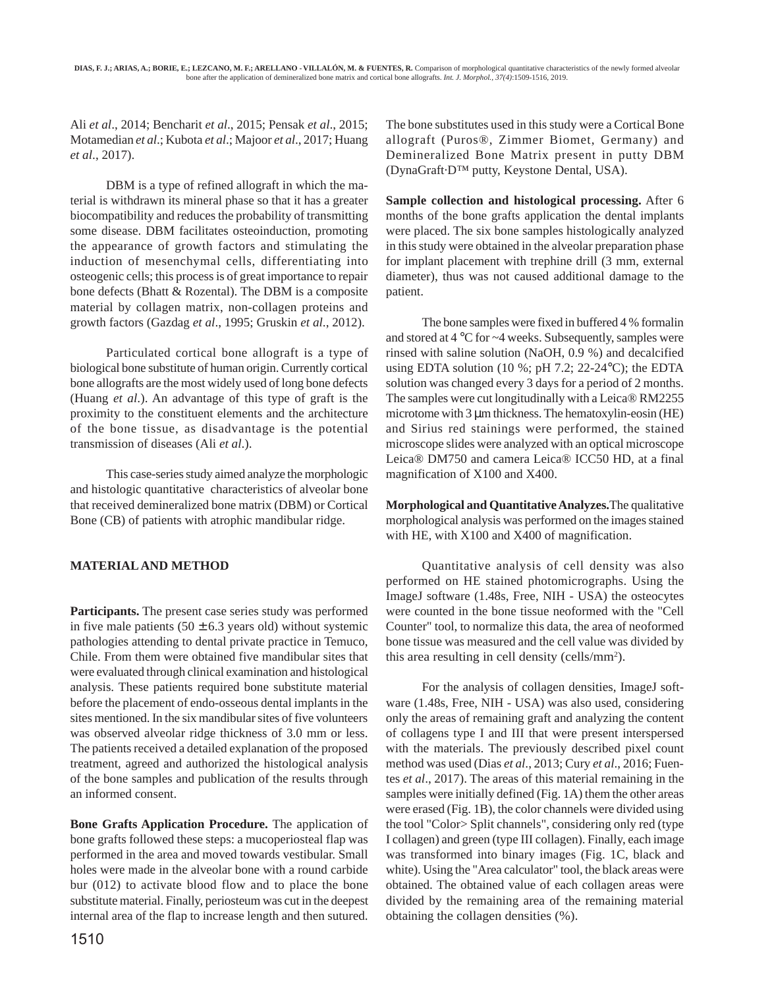Ali *et al*., 2014; Bencharit *et al*., 2015; Pensak *et al*., 2015; Motamedian *et al*.; Kubota *et al*.; Majoor *et al*., 2017; Huang *et al*., 2017).

DBM is a type of refined allograft in which the material is withdrawn its mineral phase so that it has a greater biocompatibility and reduces the probability of transmitting some disease. DBM facilitates osteoinduction, promoting the appearance of growth factors and stimulating the induction of mesenchymal cells, differentiating into osteogenic cells; this process is of great importance to repair bone defects (Bhatt & Rozental). The DBM is a composite material by collagen matrix, non-collagen proteins and growth factors (Gazdag *et al*., 1995; Gruskin *et al*., 2012).

Particulated cortical bone allograft is a type of biological bone substitute of human origin. Currently cortical bone allografts are the most widely used of long bone defects (Huang *et al*.). An advantage of this type of graft is the proximity to the constituent elements and the architecture of the bone tissue, as disadvantage is the potential transmission of diseases (Ali *et al*.).

This case-series study aimed analyze the morphologic and histologic quantitative characteristics of alveolar bone that received demineralized bone matrix (DBM) or Cortical Bone (CB) of patients with atrophic mandibular ridge.

## **MATERIAL AND METHOD**

**Participants.** The present case series study was performed in five male patients  $(50 \pm 6.3$  years old) without systemic pathologies attending to dental private practice in Temuco, Chile. From them were obtained five mandibular sites that were evaluated through clinical examination and histological analysis. These patients required bone substitute material before the placement of endo-osseous dental implants in the sites mentioned. In the six mandibular sites of five volunteers was observed alveolar ridge thickness of 3.0 mm or less. The patients received a detailed explanation of the proposed treatment, agreed and authorized the histological analysis of the bone samples and publication of the results through an informed consent.

**Bone Grafts Application Procedure.** The application of bone grafts followed these steps: a mucoperiosteal flap was performed in the area and moved towards vestibular. Small holes were made in the alveolar bone with a round carbide bur (012) to activate blood flow and to place the bone substitute material. Finally, periosteum was cut in the deepest internal area of the flap to increase length and then sutured. The bone substitutes used in this study were a Cortical Bone allograft (Puros®, Zimmer Biomet, Germany) and Demineralized Bone Matrix present in putty DBM (DynaGraft·D™ putty, Keystone Dental, USA).

**Sample collection and histological processing.** After 6 months of the bone grafts application the dental implants were placed. The six bone samples histologically analyzed in this study were obtained in the alveolar preparation phase for implant placement with trephine drill (3 mm, external diameter), thus was not caused additional damage to the patient.

The bone samples were fixed in buffered 4 % formalin and stored at 4 °C for ~4 weeks. Subsequently, samples were rinsed with saline solution (NaOH, 0.9 %) and decalcified using EDTA solution (10 %; pH 7.2; 22-24 °C); the EDTA solution was changed every 3 days for a period of 2 months. The samples were cut longitudinally with a Leica® RM2255 microtome with 3  $\mu$ m thickness. The hematoxylin-eosin (HE) and Sirius red stainings were performed, the stained microscope slides were analyzed with an optical microscope Leica® DM750 and camera Leica® ICC50 HD, at a final magnification of X100 and X400.

**Morphological and Quantitative Analyzes.**The qualitative morphological analysis was performed on the images stained with HE, with X100 and X400 of magnification.

Quantitative analysis of cell density was also performed on HE stained photomicrographs. Using the ImageJ software (1.48s, Free, NIH - USA) the osteocytes were counted in the bone tissue neoformed with the "Cell Counter" tool, to normalize this data, the area of neoformed bone tissue was measured and the cell value was divided by this area resulting in cell density (cells/mm<sup>2</sup>).

For the analysis of collagen densities, ImageJ software (1.48s, Free, NIH - USA) was also used, considering only the areas of remaining graft and analyzing the content of collagens type I and III that were present interspersed with the materials. The previously described pixel count method was used (Dias *et al*., 2013; Cury *et al*., 2016; Fuentes *et al*., 2017). The areas of this material remaining in the samples were initially defined (Fig. 1A) them the other areas were erased (Fig. 1B), the color channels were divided using the tool "Color> Split channels", considering only red (type I collagen) and green (type III collagen). Finally, each image was transformed into binary images (Fig. 1C, black and white). Using the "Area calculator" tool, the black areas were obtained. The obtained value of each collagen areas were divided by the remaining area of the remaining material obtaining the collagen densities (%).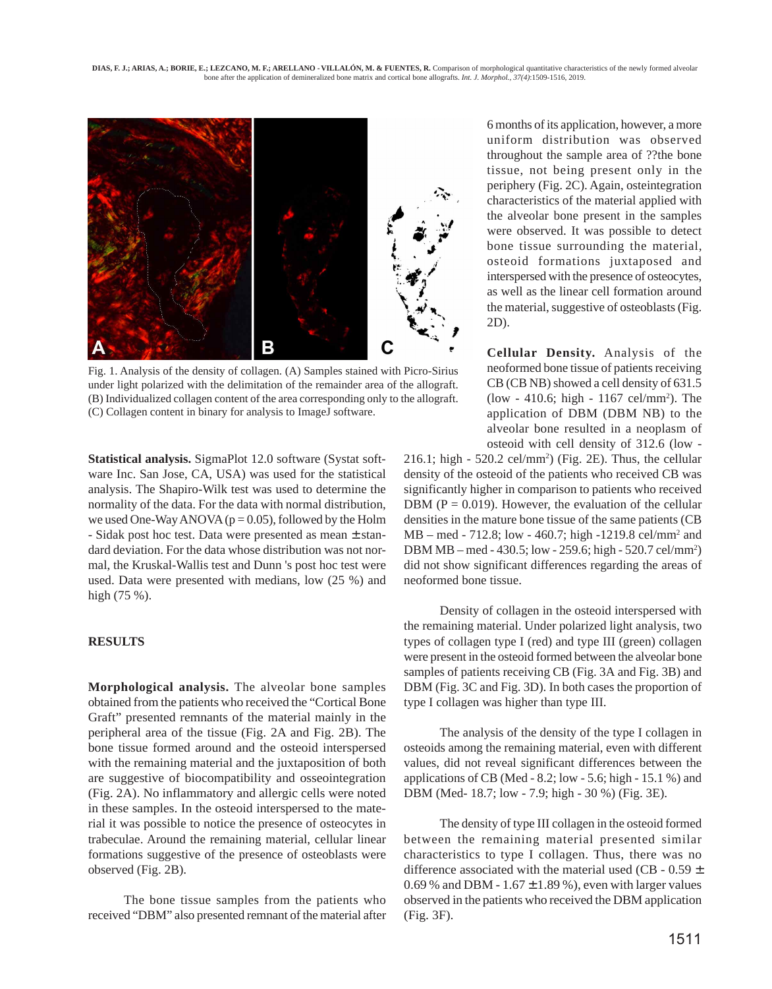

Fig. 1. Analysis of the density of collagen. (A) Samples stained with Picro-Sirius under light polarized with the delimitation of the remainder area of the allograft. (B) Individualized collagen content of the area corresponding only to the allograft. (C) Collagen content in binary for analysis to ImageJ software.

**Statistical analysis.** SigmaPlot 12.0 software (Systat software Inc. San Jose, CA, USA) was used for the statistical analysis. The Shapiro-Wilk test was used to determine the normality of the data. For the data with normal distribution, we used One-Way ANOVA ( $p = 0.05$ ), followed by the Holm - Sidak post hoc test. Data were presented as mean ± standard deviation. For the data whose distribution was not normal, the Kruskal-Wallis test and Dunn 's post hoc test were used. Data were presented with medians, low (25 %) and high (75 %).

#### **RESULTS**

**Morphological analysis.** The alveolar bone samples obtained from the patients who received the "Cortical Bone Graft" presented remnants of the material mainly in the peripheral area of the tissue (Fig. 2A and Fig. 2B). The bone tissue formed around and the osteoid interspersed with the remaining material and the juxtaposition of both are suggestive of biocompatibility and osseointegration (Fig. 2A). No inflammatory and allergic cells were noted in these samples. In the osteoid interspersed to the material it was possible to notice the presence of osteocytes in trabeculae. Around the remaining material, cellular linear formations suggestive of the presence of osteoblasts were observed (Fig. 2B).

The bone tissue samples from the patients who received "DBM" also presented remnant of the material after

6 months of its application, however, a more uniform distribution was observed throughout the sample area of ??the bone tissue, not being present only in the periphery (Fig. 2C). Again, osteintegration characteristics of the material applied with the alveolar bone present in the samples were observed. It was possible to detect bone tissue surrounding the material, osteoid formations juxtaposed and interspersed with the presence of osteocytes, as well as the linear cell formation around the material, suggestive of osteoblasts (Fig. 2D).

**Cellular Density.** Analysis of the neoformed bone tissue of patients receiving CB (CB NB) showed a cell density of 631.5 (low - 410.6; high - 1167 cel/mm<sup>2</sup>). The application of DBM (DBM NB) to the alveolar bone resulted in a neoplasm of osteoid with cell density of 312.6 (low -

 $216.1$ ; high -  $520.2$  cel/mm<sup>2</sup>) (Fig. 2E). Thus, the cellular density of the osteoid of the patients who received CB was significantly higher in comparison to patients who received DBM ( $P = 0.019$ ). However, the evaluation of the cellular densities in the mature bone tissue of the same patients (CB MB – med - 712.8; low - 460.7; high -1219.8 cel/mm<sup>2</sup> and DBM MB – med - 430.5; low - 259.6; high - 520.7 cel/mm2 ) did not show significant differences regarding the areas of neoformed bone tissue.

Density of collagen in the osteoid interspersed with the remaining material. Under polarized light analysis, two types of collagen type I (red) and type III (green) collagen were present in the osteoid formed between the alveolar bone samples of patients receiving CB (Fig. 3A and Fig. 3B) and DBM (Fig. 3C and Fig. 3D). In both cases the proportion of type I collagen was higher than type III.

The analysis of the density of the type I collagen in osteoids among the remaining material, even with different values, did not reveal significant differences between the applications of CB (Med - 8.2; low - 5.6; high - 15.1 %) and DBM (Med- 18.7; low - 7.9; high - 30 %) (Fig. 3E).

The density of type III collagen in the osteoid formed between the remaining material presented similar characteristics to type I collagen. Thus, there was no difference associated with the material used (CB -  $0.59 \pm$ 0.69 % and DBM -  $1.67 \pm 1.89$  %), even with larger values observed in the patients who received the DBM application (Fig. 3F).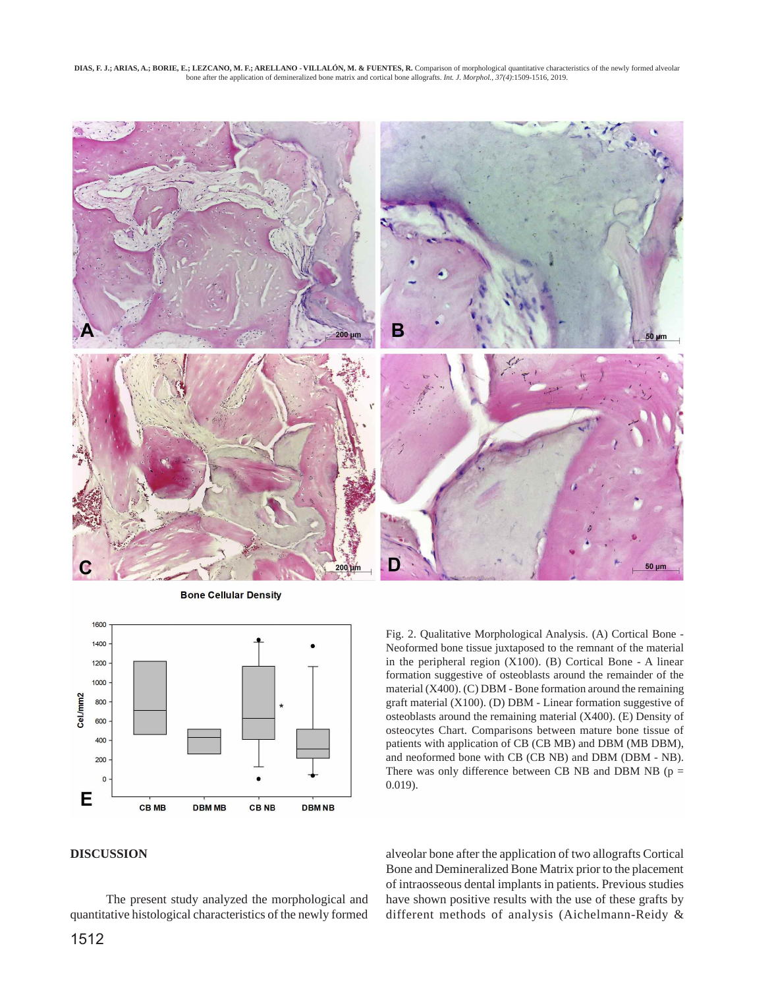**DIAS, F. J.; ARIAS, A.; BORIE, E.; LEZCANO, M. F.; ARELLANO - VILLALÓN, M. & FUENTES, R.** Comparison of morphological quantitative characteristics of the newly formed alveolar bone after the application of demineralized bone matrix and cortical bone allografts. *Int. J. Morphol., 37(4)*:1509-1516, 2019.



**Bone Cellular Density** 



Fig. 2. Qualitative Morphological Analysis. (A) Cortical Bone - Neoformed bone tissue juxtaposed to the remnant of the material in the peripheral region (X100). (B) Cortical Bone - A linear formation suggestive of osteoblasts around the remainder of the material (X400). (C) DBM - Bone formation around the remaining graft material (X100). (D) DBM - Linear formation suggestive of osteoblasts around the remaining material (X400). (E) Density of osteocytes Chart. Comparisons between mature bone tissue of patients with application of CB (CB MB) and DBM (MB DBM), and neoformed bone with CB (CB NB) and DBM (DBM - NB). There was only difference between CB NB and DBM NB ( $p =$ 0.019).

### **DISCUSSION**

The present study analyzed the morphological and quantitative histological characteristics of the newly formed

alveolar bone after the application of two allografts Cortical Bone and Demineralized Bone Matrix prior to the placement of intraosseous dental implants in patients. Previous studies have shown positive results with the use of these grafts by different methods of analysis (Aichelmann-Reidy &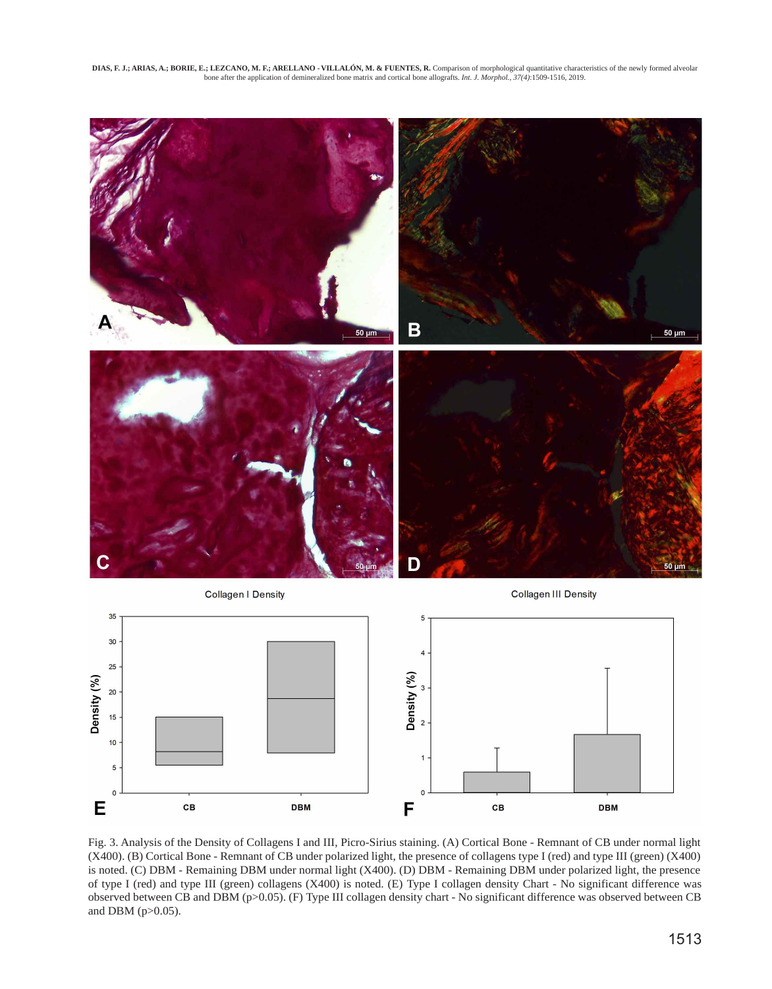**DIAS, F. J.; ARIAS, A.; BORIE, E.; LEZCANO, M. F.; ARELLANO - VILLALÓN, M. & FUENTES, R.** Comparison of morphological quantitative characteristics of the newly formed alveolar bone after the application of demineralized bone matrix and cortical bone allografts. *Int. J. Morphol., 37(4)*:1509-1516, 2019.



Fig. 3. Analysis of the Density of Collagens I and III, Picro-Sirius staining. (A) Cortical Bone - Remnant of CB under normal light (X400). (B) Cortical Bone - Remnant of CB under polarized light, the presence of collagens type I (red) and type III (green) (X400) is noted. (C) DBM - Remaining DBM under normal light (X400). (D) DBM - Remaining DBM under polarized light, the presence of type I (red) and type III (green) collagens (X400) is noted. (E) Type I collagen density Chart - No significant difference was observed between CB and DBM (p>0.05). (F) Type III collagen density chart - No significant difference was observed between CB and DBM (p>0.05).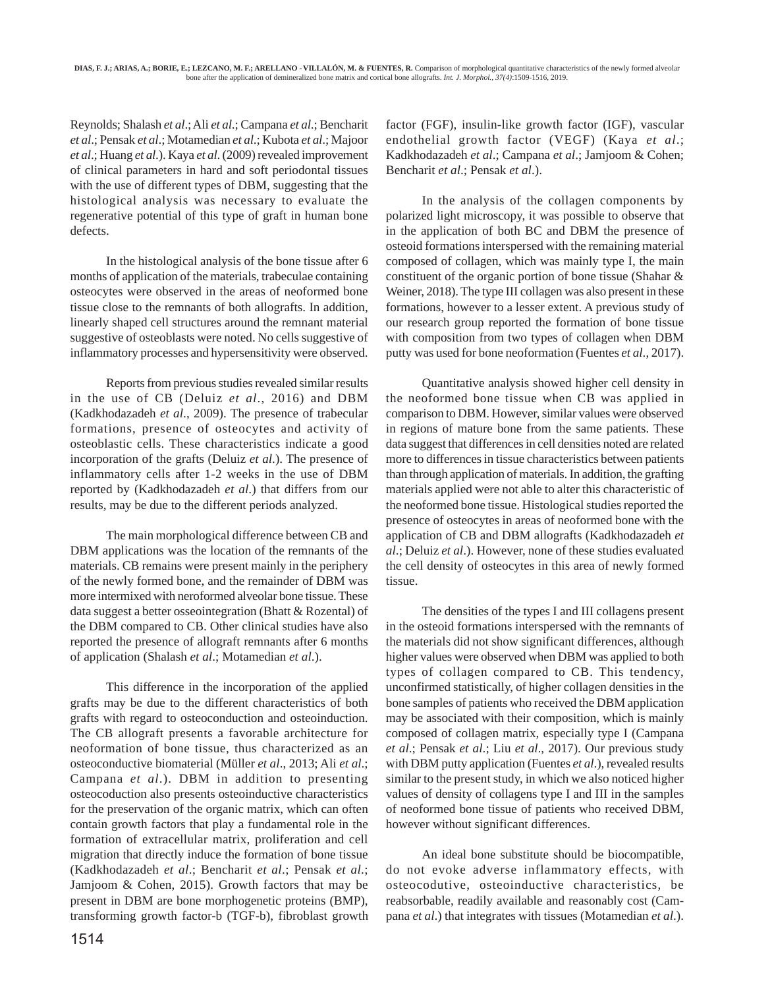Reynolds; Shalash *et al*.; Ali *et al*.; Campana *et al*.; Bencharit *et al*.; Pensak *et al*.; Motamedian *et al*.; Kubota *et al*.; Majoor *et al*.; Huang *et al*.). Kaya *et al*. (2009) revealed improvement of clinical parameters in hard and soft periodontal tissues with the use of different types of DBM, suggesting that the histological analysis was necessary to evaluate the regenerative potential of this type of graft in human bone defects.

In the histological analysis of the bone tissue after 6 months of application of the materials, trabeculae containing osteocytes were observed in the areas of neoformed bone tissue close to the remnants of both allografts. In addition, linearly shaped cell structures around the remnant material suggestive of osteoblasts were noted. No cells suggestive of inflammatory processes and hypersensitivity were observed.

Reports from previous studies revealed similar results in the use of CB (Deluiz *et al*., 2016) and DBM (Kadkhodazadeh *et al*., 2009). The presence of trabecular formations, presence of osteocytes and activity of osteoblastic cells. These characteristics indicate a good incorporation of the grafts (Deluiz *et al*.). The presence of inflammatory cells after 1-2 weeks in the use of DBM reported by (Kadkhodazadeh *et al*.) that differs from our results, may be due to the different periods analyzed.

The main morphological difference between CB and DBM applications was the location of the remnants of the materials. CB remains were present mainly in the periphery of the newly formed bone, and the remainder of DBM was more intermixed with neroformed alveolar bone tissue. These data suggest a better osseointegration (Bhatt & Rozental) of the DBM compared to CB. Other clinical studies have also reported the presence of allograft remnants after 6 months of application (Shalash *et al*.; Motamedian *et al*.).

This difference in the incorporation of the applied grafts may be due to the different characteristics of both grafts with regard to osteoconduction and osteoinduction. The CB allograft presents a favorable architecture for neoformation of bone tissue, thus characterized as an osteoconductive biomaterial (Müller *et al*., 2013; Ali *et al*.; Campana *et al*.). DBM in addition to presenting osteocoduction also presents osteoinductive characteristics for the preservation of the organic matrix, which can often contain growth factors that play a fundamental role in the formation of extracellular matrix, proliferation and cell migration that directly induce the formation of bone tissue (Kadkhodazadeh *et al*.; Bencharit *et al*.; Pensak *et al*.; Jamjoom & Cohen, 2015). Growth factors that may be present in DBM are bone morphogenetic proteins (BMP), transforming growth factor-b (TGF-b), fibroblast growth factor (FGF), insulin-like growth factor (IGF), vascular endothelial growth factor (VEGF) (Kaya *et al*.; Kadkhodazadeh *et al*.; Campana *et al*.; Jamjoom & Cohen; Bencharit *et al*.; Pensak *et al*.).

In the analysis of the collagen components by polarized light microscopy, it was possible to observe that in the application of both BC and DBM the presence of osteoid formations interspersed with the remaining material composed of collagen, which was mainly type I, the main constituent of the organic portion of bone tissue (Shahar & Weiner, 2018). The type III collagen was also present in these formations, however to a lesser extent. A previous study of our research group reported the formation of bone tissue with composition from two types of collagen when DBM putty was used for bone neoformation (Fuentes *et al*., 2017).

Quantitative analysis showed higher cell density in the neoformed bone tissue when CB was applied in comparison to DBM. However, similar values were observed in regions of mature bone from the same patients. These data suggest that differences in cell densities noted are related more to differences in tissue characteristics between patients than through application of materials. In addition, the grafting materials applied were not able to alter this characteristic of the neoformed bone tissue. Histological studies reported the presence of osteocytes in areas of neoformed bone with the application of CB and DBM allografts (Kadkhodazadeh *et al*.; Deluiz *et al*.). However, none of these studies evaluated the cell density of osteocytes in this area of newly formed tissue.

The densities of the types I and III collagens present in the osteoid formations interspersed with the remnants of the materials did not show significant differences, although higher values were observed when DBM was applied to both types of collagen compared to CB. This tendency, unconfirmed statistically, of higher collagen densities in the bone samples of patients who received the DBM application may be associated with their composition, which is mainly composed of collagen matrix, especially type I (Campana *et al*.; Pensak *et al*.; Liu *et al*., 2017). Our previous study with DBM putty application (Fuentes *et al*.), revealed results similar to the present study, in which we also noticed higher values of density of collagens type I and III in the samples of neoformed bone tissue of patients who received DBM, however without significant differences.

An ideal bone substitute should be biocompatible, do not evoke adverse inflammatory effects, with osteocodutive, osteoinductive characteristics, be reabsorbable, readily available and reasonably cost (Campana *et al*.) that integrates with tissues (Motamedian *et al*.).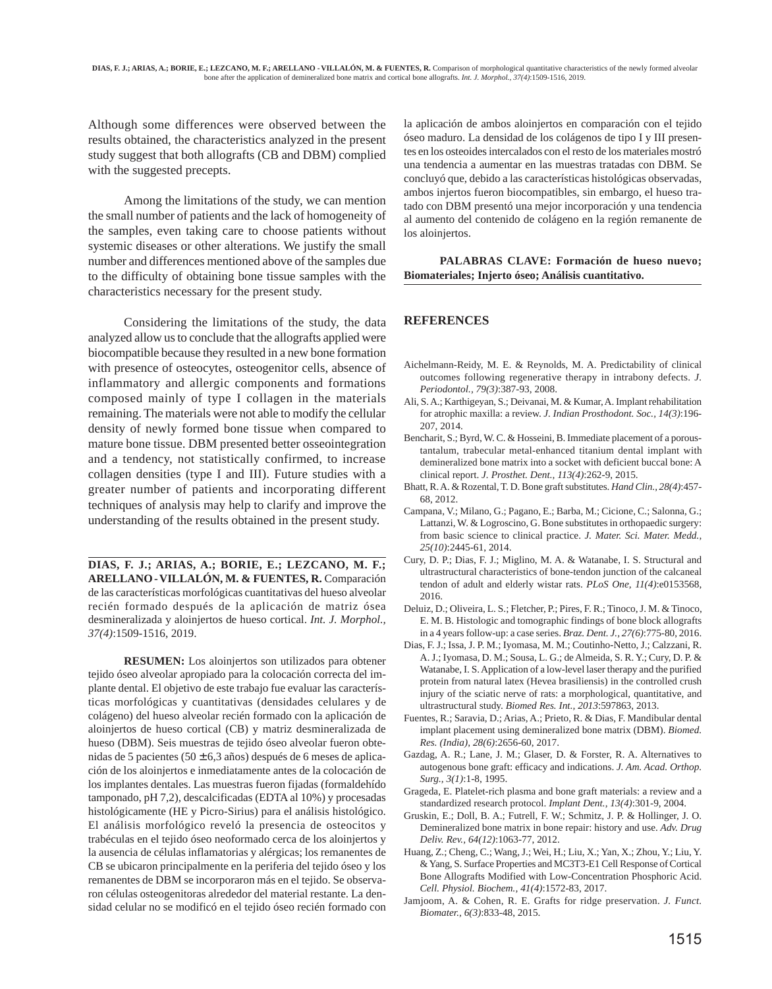Although some differences were observed between the results obtained, the characteristics analyzed in the present study suggest that both allografts (CB and DBM) complied with the suggested precepts.

Among the limitations of the study, we can mention the small number of patients and the lack of homogeneity of the samples, even taking care to choose patients without systemic diseases or other alterations. We justify the small number and differences mentioned above of the samples due to the difficulty of obtaining bone tissue samples with the characteristics necessary for the present study.

Considering the limitations of the study, the data analyzed allow us to conclude that the allografts applied were biocompatible because they resulted in a new bone formation with presence of osteocytes, osteogenitor cells, absence of inflammatory and allergic components and formations composed mainly of type I collagen in the materials remaining. The materials were not able to modify the cellular density of newly formed bone tissue when compared to mature bone tissue. DBM presented better osseointegration and a tendency, not statistically confirmed, to increase collagen densities (type I and III). Future studies with a greater number of patients and incorporating different techniques of analysis may help to clarify and improve the understanding of the results obtained in the present study.

**DIAS, F. J.; ARIAS, A.; BORIE, E.; LEZCANO, M. F.; ARELLANO - VILLALÓN, M. & FUENTES, R.** Comparación de las características morfológicas cuantitativas del hueso alveolar recién formado después de la aplicación de matriz ósea desmineralizada y aloinjertos de hueso cortical. *Int. J. Morphol., 37(4)*:1509-1516, 2019.

**RESUMEN:** Los aloinjertos son utilizados para obtener tejido óseo alveolar apropiado para la colocación correcta del implante dental. El objetivo de este trabajo fue evaluar las características morfológicas y cuantitativas (densidades celulares y de colágeno) del hueso alveolar recién formado con la aplicación de aloinjertos de hueso cortical (CB) y matriz desmineralizada de hueso (DBM). Seis muestras de tejido óseo alveolar fueron obtenidas de 5 pacientes ( $50 \pm 6.3$  años) después de 6 meses de aplicación de los aloinjertos e inmediatamente antes de la colocación de los implantes dentales. Las muestras fueron fijadas (formaldehído tamponado, pH 7,2), descalcificadas (EDTA al 10%) y procesadas histológicamente (HE y Picro-Sirius) para el análisis histológico. El análisis morfológico reveló la presencia de osteocitos y trabéculas en el tejido óseo neoformado cerca de los aloinjertos y la ausencia de células inflamatorias y alérgicas; los remanentes de CB se ubicaron principalmente en la periferia del tejido óseo y los remanentes de DBM se incorporaron más en el tejido. Se observaron células osteogenitoras alrededor del material restante. La densidad celular no se modificó en el tejido óseo recién formado con la aplicación de ambos aloinjertos en comparación con el tejido óseo maduro. La densidad de los colágenos de tipo I y III presentes en los osteoides intercalados con el resto de los materiales mostró una tendencia a aumentar en las muestras tratadas con DBM. Se concluyó que, debido a las características histológicas observadas, ambos injertos fueron biocompatibles, sin embargo, el hueso tratado con DBM presentó una mejor incorporación y una tendencia al aumento del contenido de colágeno en la región remanente de los aloinjertos.

#### **PALABRAS CLAVE: Formación de hueso nuevo; Biomateriales; Injerto óseo; Análisis cuantitativo.**

#### **REFERENCES**

- Aichelmann-Reidy, M. E. & Reynolds, M. A. Predictability of clinical outcomes following regenerative therapy in intrabony defects. *J. Periodontol., 79(3)*:387-93, 2008.
- Ali, S. A.; Karthigeyan, S.; Deivanai, M. & Kumar, A. Implant rehabilitation for atrophic maxilla: a review. *J. Indian Prosthodont. Soc., 14(3)*:196- 207, 2014.
- Bencharit, S.; Byrd, W. C. & Hosseini, B. Immediate placement of a poroustantalum, trabecular metal-enhanced titanium dental implant with demineralized bone matrix into a socket with deficient buccal bone: A clinical report. *J. Prosthet. Dent., 113(4)*:262-9, 2015.
- Bhatt, R. A. & Rozental, T. D. Bone graft substitutes. *Hand Clin., 28(4)*:457- 68, 2012.
- Campana, V.; Milano, G.; Pagano, E.; Barba, M.; Cicione, C.; Salonna, G.; Lattanzi, W. & Logroscino, G. Bone substitutes in orthopaedic surgery: from basic science to clinical practice. *J. Mater. Sci. Mater. Medd., 25(10)*:2445-61, 2014.
- Cury, D. P.; Dias, F. J.; Miglino, M. A. & Watanabe, I. S. Structural and ultrastructural characteristics of bone-tendon junction of the calcaneal tendon of adult and elderly wistar rats. *PLoS One, 11(4)*:e0153568, 2016.
- Deluiz, D.; Oliveira, L. S.; Fletcher, P.; Pires, F. R.; Tinoco, J. M. & Tinoco, E. M. B. Histologic and tomographic findings of bone block allografts in a 4 years follow-up: a case series. *Braz. Dent. J., 27(6)*:775-80, 2016.
- Dias, F. J.; Issa, J. P. M.; Iyomasa, M. M.; Coutinho-Netto, J.; Calzzani, R. A. J.; Iyomasa, D. M.; Sousa, L. G.; de Almeida, S. R. Y.; Cury, D. P. & Watanabe, I. S. Application of a low-level laser therapy and the purified protein from natural latex (Hevea brasiliensis) in the controlled crush injury of the sciatic nerve of rats: a morphological, quantitative, and ultrastructural study. *Biomed Res. Int., 2013*:597863, 2013.
- Fuentes, R.; Saravia, D.; Arias, A.; Prieto, R. & Dias, F. Mandibular dental implant placement using demineralized bone matrix (DBM). *Biomed. Res. (India), 28(6)*:2656-60, 2017.
- Gazdag, A. R.; Lane, J. M.; Glaser, D. & Forster, R. A. Alternatives to autogenous bone graft: efficacy and indications. *J. Am. Acad. Orthop. Surg., 3(1)*:1-8, 1995.
- Grageda, E. Platelet-rich plasma and bone graft materials: a review and a standardized research protocol. *Implant Dent., 13(4)*:301-9, 2004.
- Gruskin, E.; Doll, B. A.; Futrell, F. W.; Schmitz, J. P. & Hollinger, J. O. Demineralized bone matrix in bone repair: history and use. *Adv. Drug Deliv. Rev., 64(12)*:1063-77, 2012.
- Huang, Z.; Cheng, C.; Wang, J.; Wei, H.; Liu, X.; Yan, X.; Zhou, Y.; Liu, Y. & Yang, S. Surface Properties and MC3T3-E1 Cell Response of Cortical Bone Allografts Modified with Low-Concentration Phosphoric Acid. *Cell. Physiol. Biochem., 41(4)*:1572-83, 2017.
- Jamjoom, A. & Cohen, R. E. Grafts for ridge preservation. *J. Funct. Biomater., 6(3)*:833-48, 2015.